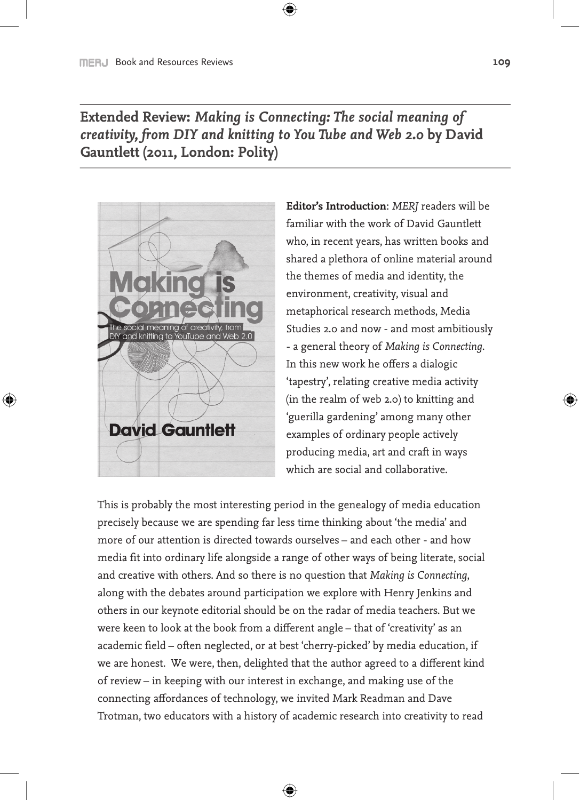**Extended Review:** *Making is Connecting: The social meaning of creativity, from DIY and knitting to You Tube and Web 2.0* **by David Gauntlett (2011, London: Polity)**

 $\bigoplus$ 



⊕

**Editor's Introduction**: *MERJ* readers will be familiar with the work of David Gauntlett who, in recent years, has written books and shared a plethora of online material around the themes of media and identity, the environment, creativity, visual and metaphorical research methods, Media Studies 2.0 and now - and most ambitiously - a general theory of *Making is Connecting*. In this new work he offers a dialogic 'tapestry', relating creative media activity (in the realm of web 2.0) to knitting and 'guerilla gardening' among many other examples of ordinary people actively producing media, art and craft in ways which are social and collaborative.

This is probably the most interesting period in the genealogy of media education precisely because we are spending far less time thinking about 'the media' and more of our attention is directed towards ourselves – and each other - and how media fit into ordinary life alongside a range of other ways of being literate, social and creative with others. And so there is no question that *Making is Connecting*, along with the debates around participation we explore with Henry Jenkins and others in our keynote editorial should be on the radar of media teachers. But we were keen to look at the book from a different angle – that of 'creativity' as an academic field – often neglected, or at best 'cherry-picked' by media education, if we are honest. We were, then, delighted that the author agreed to a different kind of review – in keeping with our interest in exchange, and making use of the connecting affordances of technology, we invited Mark Readman and Dave Trotman, two educators with a history of academic research into creativity to read

⊕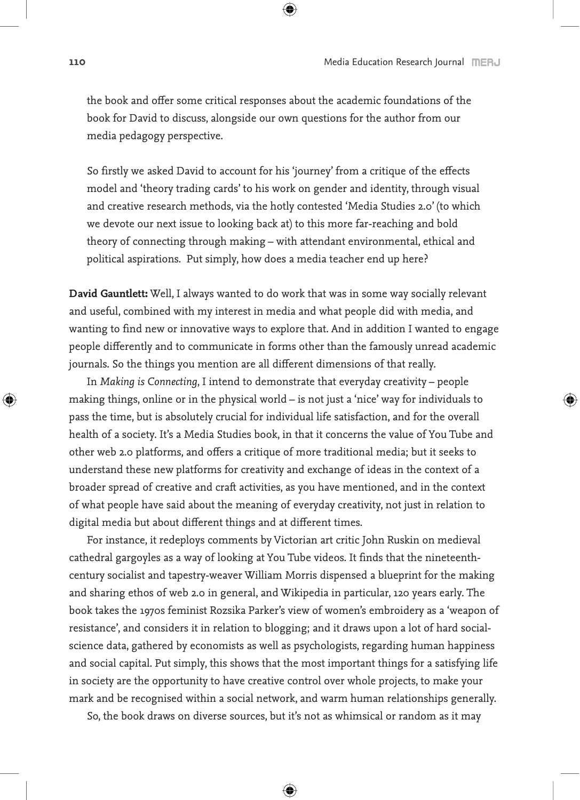the book and offer some critical responses about the academic foundations of the book for David to discuss, alongside our own questions for the author from our media pedagogy perspective.

⊕

So firstly we asked David to account for his 'journey' from a critique of the effects model and 'theory trading cards' to his work on gender and identity, through visual and creative research methods, via the hotly contested 'Media Studies 2.0' (to which we devote our next issue to looking back at) to this more far-reaching and bold theory of connecting through making – with attendant environmental, ethical and political aspirations. Put simply, how does a media teacher end up here?

**David Gauntlett:** Well, I always wanted to do work that was in some way socially relevant and useful, combined with my interest in media and what people did with media, and wanting to find new or innovative ways to explore that. And in addition I wanted to engage people differently and to communicate in forms other than the famously unread academic journals. So the things you mention are all different dimensions of that really.

In *Making is Connecting*, I intend to demonstrate that everyday creativity – people making things, online or in the physical world – is not just a 'nice' way for individuals to pass the time, but is absolutely crucial for individual life satisfaction, and for the overall health of a society. It's a Media Studies book, in that it concerns the value of You Tube and other web 2.0 platforms, and offers a critique of more traditional media; but it seeks to understand these new platforms for creativity and exchange of ideas in the context of a broader spread of creative and craft activities, as you have mentioned, and in the context of what people have said about the meaning of everyday creativity, not just in relation to digital media but about different things and at different times.

For instance, it redeploys comments by Victorian art critic John Ruskin on medieval cathedral gargoyles as a way of looking at You Tube videos. It finds that the nineteenthcentury socialist and tapestry-weaver William Morris dispensed a blueprint for the making and sharing ethos of web 2.0 in general, and Wikipedia in particular, 120 years early. The book takes the 1970s feminist Rozsika Parker's view of women's embroidery as a 'weapon of resistance', and considers it in relation to blogging; and it draws upon a lot of hard socialscience data, gathered by economists as well as psychologists, regarding human happiness and social capital. Put simply, this shows that the most important things for a satisfying life in society are the opportunity to have creative control over whole projects, to make your mark and be recognised within a social network, and warm human relationships generally.

So, the book draws on diverse sources, but it's not as whimsical or random as it may

⊕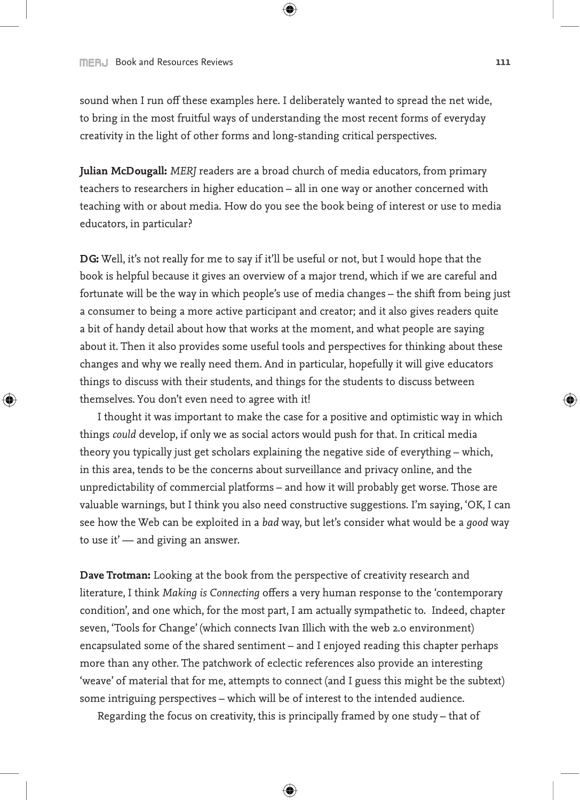## **FINER ACCOUNTER ACCOUNTS AND RESOURCES REVIEWS AND RESOURCE ACCOUNTS AND RESOURCE ACCOUNTS AND RESOURCES AND RESOURCES AND RESOURCES AND RESOURCES AND RESOURCES AND RESOURCES AND RESOURCES AND RESOURCES AND RESOURCES AND**

⊕

sound when I run off these examples here. I deliberately wanted to spread the net wide, to bring in the most fruitful ways of understanding the most recent forms of everyday creativity in the light of other forms and long-standing critical perspectives.

 $\mathbf \Theta$ 

**Julian McDougall:** *MERJ* readers are a broad church of media educators, from primary teachers to researchers in higher education – all in one way or another concerned with teaching with or about media. How do you see the book being of interest or use to media educators, in particular?

**DG:** Well, it's not really for me to say if it'll be useful or not, but I would hope that the book is helpful because it gives an overview of a major trend, which if we are careful and fortunate will be the way in which people's use of media changes – the shift from being just a consumer to being a more active participant and creator; and it also gives readers quite a bit of handy detail about how that works at the moment, and what people are saying about it. Then it also provides some useful tools and perspectives for thinking about these changes and why we really need them. And in particular, hopefully it will give educators things to discuss with their students, and things for the students to discuss between themselves. You don't even need to agree with it!

I thought it was important to make the case for a positive and optimistic way in which things *could* develop, if only we as social actors would push for that. In critical media theory you typically just get scholars explaining the negative side of everything – which, in this area, tends to be the concerns about surveillance and privacy online, and the unpredictability of commercial platforms – and how it will probably get worse. Those are valuable warnings, but I think you also need constructive suggestions. I'm saying, 'OK, I can see how the Web can be exploited in a *bad* way, but let's consider what would be a *good* way to use it' — and giving an answer.

**Dave Trotman:** Looking at the book from the perspective of creativity research and literature, I think *Making is Connecting* offers a very human response to the 'contemporary condition', and one which, for the most part, I am actually sympathetic to. Indeed, chapter seven, 'Tools for Change' (which connects Ivan Illich with the web 2.0 environment) encapsulated some of the shared sentiment – and I enjoyed reading this chapter perhaps more than any other. The patchwork of eclectic references also provide an interesting 'weave' of material that for me, attempts to connect (and I guess this might be the subtext) some intriguing perspectives – which will be of interest to the intended audience.

Regarding the focus on creativity, this is principally framed by one study – that of

⊕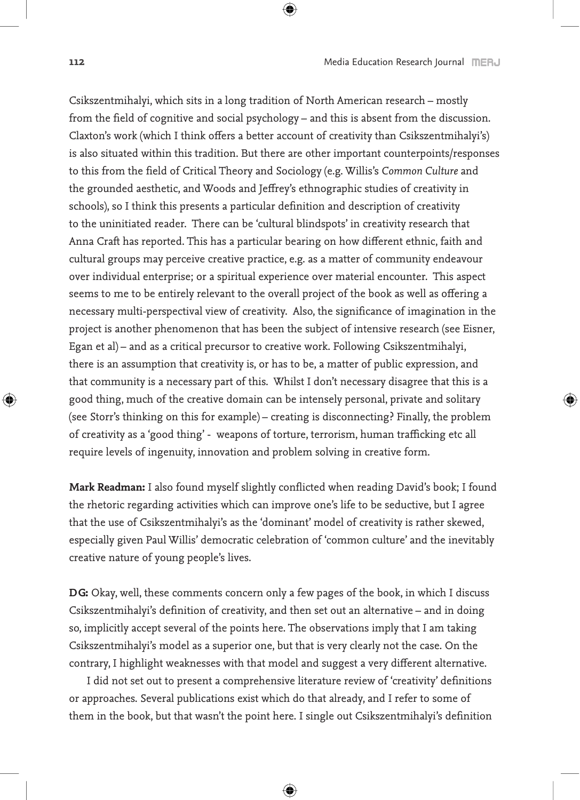Csikszentmihalyi, which sits in a long tradition of North American research – mostly from the field of cognitive and social psychology – and this is absent from the discussion. Claxton's work (which I think offers a better account of creativity than Csikszentmihalyi's) is also situated within this tradition. But there are other important counterpoints/responses to this from the field of Critical Theory and Sociology (e.g. Willis's *Common Culture* and the grounded aesthetic, and Woods and Jeffrey's ethnographic studies of creativity in schools), so I think this presents a particular definition and description of creativity to the uninitiated reader. There can be 'cultural blindspots' in creativity research that Anna Craft has reported. This has a particular bearing on how different ethnic, faith and cultural groups may perceive creative practice, e.g. as a matter of community endeavour over individual enterprise; or a spiritual experience over material encounter. This aspect seems to me to be entirely relevant to the overall project of the book as well as offering a necessary multi-perspectival view of creativity. Also, the significance of imagination in the project is another phenomenon that has been the subject of intensive research (see Eisner, Egan et al) – and as a critical precursor to creative work. Following Csikszentmihalyi, there is an assumption that creativity is, or has to be, a matter of public expression, and that community is a necessary part of this. Whilst I don't necessary disagree that this is a good thing, much of the creative domain can be intensely personal, private and solitary (see Storr's thinking on this for example) – creating is disconnecting? Finally, the problem of creativity as a 'good thing' - weapons of torture, terrorism, human trafficking etc all require levels of ingenuity, innovation and problem solving in creative form.

 $\bigoplus$ 

**Mark Readman:** I also found myself slightly conflicted when reading David's book; I found the rhetoric regarding activities which can improve one's life to be seductive, but I agree that the use of Csikszentmihalyi's as the 'dominant' model of creativity is rather skewed, especially given Paul Willis' democratic celebration of 'common culture' and the inevitably creative nature of young people's lives.

**DG:** Okay, well, these comments concern only a few pages of the book, in which I discuss Csikszentmihalyi's definition of creativity, and then set out an alternative – and in doing so, implicitly accept several of the points here. The observations imply that I am taking Csikszentmihalyi's model as a superior one, but that is very clearly not the case. On the contrary, I highlight weaknesses with that model and suggest a very different alternative.

I did not set out to present a comprehensive literature review of 'creativity' definitions or approaches. Several publications exist which do that already, and I refer to some of them in the book, but that wasn't the point here. I single out Csikszentmihalyi's definition

⊕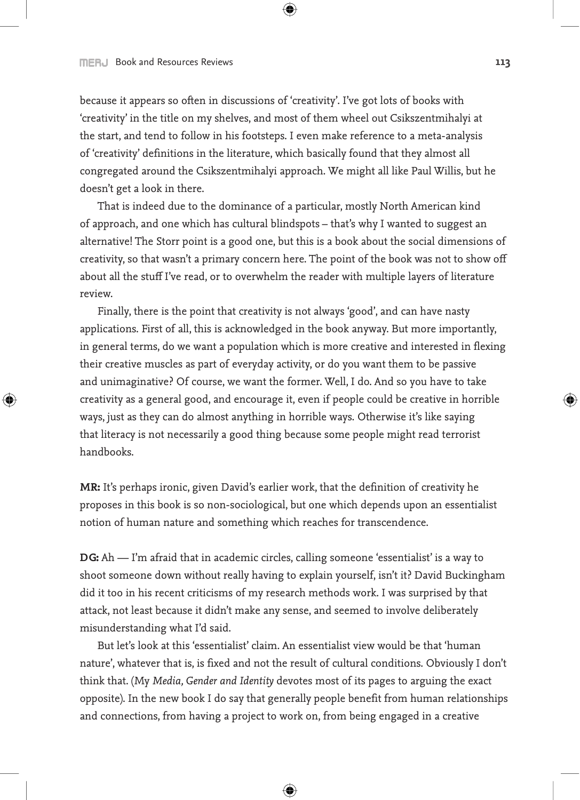## **THERU Book and Resources Reviews 62.123 CONTERU REVIEWS 113**

↔

because it appears so often in discussions of 'creativity'. I've got lots of books with 'creativity' in the title on my shelves, and most of them wheel out Csikszentmihalyi at the start, and tend to follow in his footsteps. I even make reference to a meta-analysis of 'creativity' definitions in the literature, which basically found that they almost all congregated around the Csikszentmihalyi approach. We might all like Paul Willis, but he doesn't get a look in there.

⊕

That is indeed due to the dominance of a particular, mostly North American kind of approach, and one which has cultural blindspots – that's why I wanted to suggest an alternative! The Storr point is a good one, but this is a book about the social dimensions of creativity, so that wasn't a primary concern here. The point of the book was not to show off about all the stuff I've read, or to overwhelm the reader with multiple layers of literature review.

Finally, there is the point that creativity is not always 'good', and can have nasty applications. First of all, this is acknowledged in the book anyway. But more importantly, in general terms, do we want a population which is more creative and interested in flexing their creative muscles as part of everyday activity, or do you want them to be passive and unimaginative? Of course, we want the former. Well, I do. And so you have to take creativity as a general good, and encourage it, even if people could be creative in horrible ways, just as they can do almost anything in horrible ways. Otherwise it's like saying that literacy is not necessarily a good thing because some people might read terrorist handbooks.

**MR:** It's perhaps ironic, given David's earlier work, that the definition of creativity he proposes in this book is so non-sociological, but one which depends upon an essentialist notion of human nature and something which reaches for transcendence.

**DG:** Ah — I'm afraid that in academic circles, calling someone 'essentialist' is a way to shoot someone down without really having to explain yourself, isn't it? David Buckingham did it too in his recent criticisms of my research methods work. I was surprised by that attack, not least because it didn't make any sense, and seemed to involve deliberately misunderstanding what I'd said.

But let's look at this 'essentialist' claim. An essentialist view would be that 'human nature', whatever that is, is fixed and not the result of cultural conditions. Obviously I don't think that. (My *Media, Gender and Identity* devotes most of its pages to arguing the exact opposite). In the new book I do say that generally people benefit from human relationships and connections, from having a project to work on, from being engaged in a creative

⊕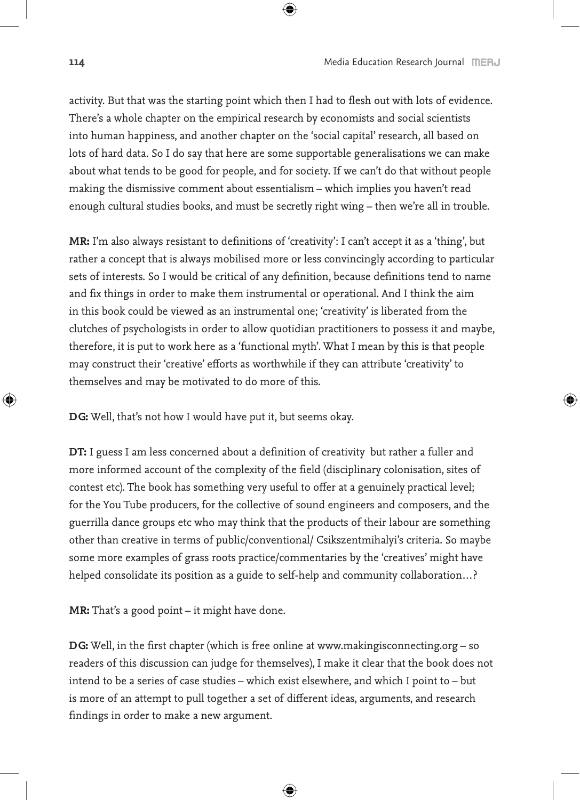activity. But that was the starting point which then I had to flesh out with lots of evidence. There's a whole chapter on the empirical research by economists and social scientists into human happiness, and another chapter on the 'social capital' research, all based on lots of hard data. So I do say that here are some supportable generalisations we can make about what tends to be good for people, and for society. If we can't do that without people making the dismissive comment about essentialism – which implies you haven't read enough cultural studies books, and must be secretly right wing – then we're all in trouble.

 $\bigoplus$ 

**MR:** I'm also always resistant to definitions of 'creativity': I can't accept it as a 'thing', but rather a concept that is always mobilised more or less convincingly according to particular sets of interests. So I would be critical of any definition, because definitions tend to name and fix things in order to make them instrumental or operational. And I think the aim in this book could be viewed as an instrumental one; 'creativity' is liberated from the clutches of psychologists in order to allow quotidian practitioners to possess it and maybe, therefore, it is put to work here as a 'functional myth'. What I mean by this is that people may construct their 'creative' efforts as worthwhile if they can attribute 'creativity' to themselves and may be motivated to do more of this.

**DG:** Well, that's not how I would have put it, but seems okay.

**DT:** I guess I am less concerned about a definition of creativity but rather a fuller and more informed account of the complexity of the field (disciplinary colonisation, sites of contest etc). The book has something very useful to offer at a genuinely practical level; for the You Tube producers, for the collective of sound engineers and composers, and the guerrilla dance groups etc who may think that the products of their labour are something other than creative in terms of public/conventional/ Csikszentmihalyi's criteria. So maybe some more examples of grass roots practice/commentaries by the 'creatives' might have helped consolidate its position as a guide to self-help and community collaboration...?

**MR:** That's a good point – it might have done.

**DG:** Well, in the first chapter (which is free online at www.makingisconnecting.org – so readers of this discussion can judge for themselves), I make it clear that the book does not intend to be a series of case studies – which exist elsewhere, and which I point to – but is more of an attempt to pull together a set of different ideas, arguments, and research findings in order to make a new argument.

⊕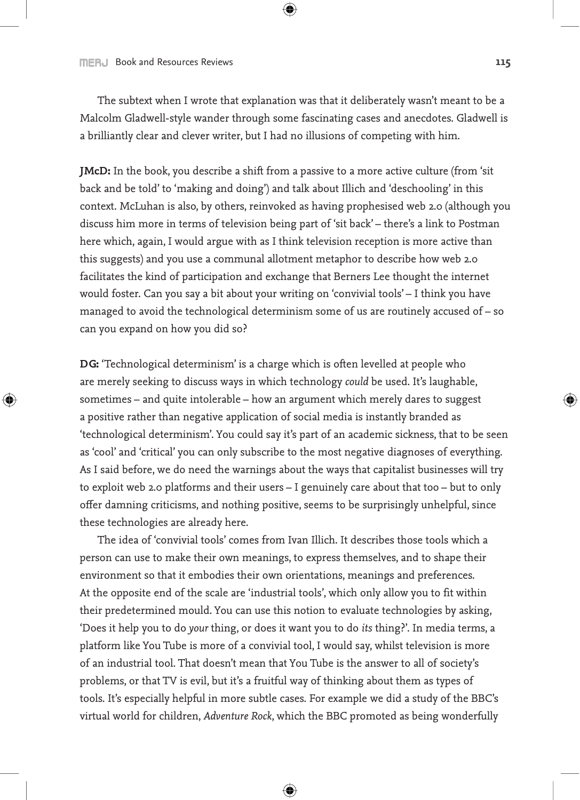The subtext when I wrote that explanation was that it deliberately wasn't meant to be a Malcolm Gladwell-style wander through some fascinating cases and anecdotes. Gladwell is a brilliantly clear and clever writer, but I had no illusions of competing with him.

⊕

**JMcD:** In the book, you describe a shift from a passive to a more active culture (from 'sit back and be told' to 'making and doing') and talk about Illich and 'deschooling' in this context. McLuhan is also, by others, reinvoked as having prophesised web 2.0 (although you discuss him more in terms of television being part of 'sit back' – there's a link to Postman here which, again, I would argue with as I think television reception is more active than this suggests) and you use a communal allotment metaphor to describe how web 2.0 facilitates the kind of participation and exchange that Berners Lee thought the internet would foster. Can you say a bit about your writing on 'convivial tools' – I think you have managed to avoid the technological determinism some of us are routinely accused of – so can you expand on how you did so?

**DG:** 'Technological determinism' is a charge which is often levelled at people who are merely seeking to discuss ways in which technology *could* be used. It's laughable, sometimes – and quite intolerable – how an argument which merely dares to suggest a positive rather than negative application of social media is instantly branded as 'technological determinism'. You could say it's part of an academic sickness, that to be seen as 'cool' and 'critical' you can only subscribe to the most negative diagnoses of everything. As I said before, we do need the warnings about the ways that capitalist businesses will try to exploit web 2.0 platforms and their users – I genuinely care about that too – but to only offer damning criticisms, and nothing positive, seems to be surprisingly unhelpful, since these technologies are already here.

The idea of 'convivial tools' comes from Ivan Illich. It describes those tools which a person can use to make their own meanings, to express themselves, and to shape their environment so that it embodies their own orientations, meanings and preferences. At the opposite end of the scale are 'industrial tools', which only allow you to fit within their predetermined mould. You can use this notion to evaluate technologies by asking, 'Does it help you to do *your* thing, or does it want you to do *its* thing?'. In media terms, a platform like You Tube is more of a convivial tool, I would say, whilst television is more of an industrial tool. That doesn't mean that You Tube is the answer to all of society's problems, or that TV is evil, but it's a fruitful way of thinking about them as types of tools. It's especially helpful in more subtle cases. For example we did a study of the BBC's virtual world for children, *Adventure Rock*, which the BBC promoted as being wonderfully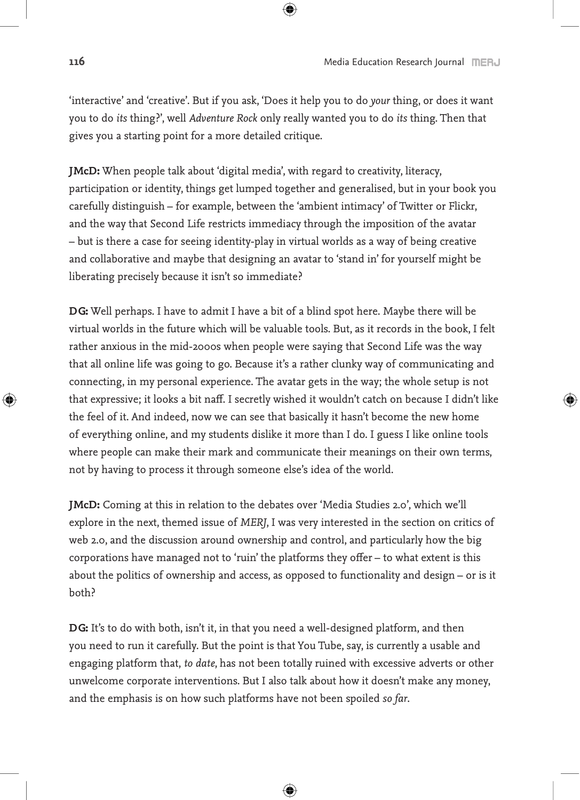'interactive' and 'creative'. But if you ask, 'Does it help you to do *your* thing, or does it want you to do *its* thing?', well *Adventure Rock* only really wanted you to do *its* thing. Then that gives you a starting point for a more detailed critique.

 $\bigoplus$ 

**JMcD:** When people talk about 'digital media', with regard to creativity, literacy, participation or identity, things get lumped together and generalised, but in your book you carefully distinguish – for example, between the 'ambient intimacy' of Twitter or Flickr, and the way that Second Life restricts immediacy through the imposition of the avatar – but is there a case for seeing identity-play in virtual worlds as a way of being creative and collaborative and maybe that designing an avatar to 'stand in' for yourself might be liberating precisely because it isn't so immediate?

**DG:** Well perhaps. I have to admit I have a bit of a blind spot here. Maybe there will be virtual worlds in the future which will be valuable tools. But, as it records in the book, I felt rather anxious in the mid-2000s when people were saying that Second Life was the way that all online life was going to go. Because it's a rather clunky way of communicating and connecting, in my personal experience. The avatar gets in the way; the whole setup is not that expressive; it looks a bit naff. I secretly wished it wouldn't catch on because I didn't like the feel of it. And indeed, now we can see that basically it hasn't become the new home of everything online, and my students dislike it more than I do. I guess I like online tools where people can make their mark and communicate their meanings on their own terms, not by having to process it through someone else's idea of the world.

**JMcD:** Coming at this in relation to the debates over 'Media Studies 2.0', which we'll explore in the next, themed issue of *MERJ*, I was very interested in the section on critics of web 2.0, and the discussion around ownership and control, and particularly how the big corporations have managed not to 'ruin' the platforms they offer – to what extent is this about the politics of ownership and access, as opposed to functionality and design – or is it both?

**DG:** It's to do with both, isn't it, in that you need a well-designed platform, and then you need to run it carefully. But the point is that You Tube, say, is currently a usable and engaging platform that, *to date*, has not been totally ruined with excessive adverts or other unwelcome corporate interventions. But I also talk about how it doesn't make any money, and the emphasis is on how such platforms have not been spoiled *so far*.

⊕

↔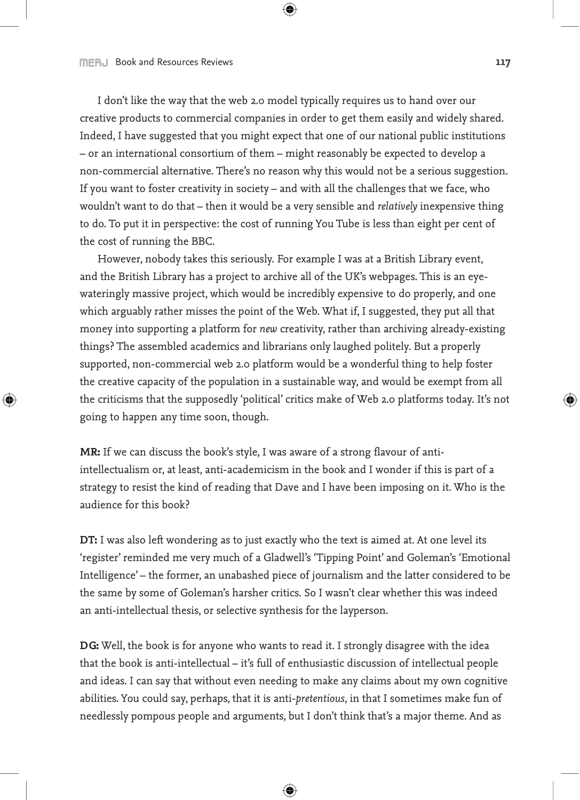I don't like the way that the web 2.0 model typically requires us to hand over our creative products to commercial companies in order to get them easily and widely shared. Indeed, I have suggested that you might expect that one of our national public institutions – or an international consortium of them – might reasonably be expected to develop a non-commercial alternative. There's no reason why this would not be a serious suggestion. If you want to foster creativity in society – and with all the challenges that we face, who wouldn't want to do that – then it would be a very sensible and *relatively* inexpensive thing to do. To put it in perspective: the cost of running You Tube is less than eight per cent of the cost of running the BBC.

⊕

However, nobody takes this seriously. For example I was at a British Library event, and the British Library has a project to archive all of the UK's webpages. This is an eyewateringly massive project, which would be incredibly expensive to do properly, and one which arguably rather misses the point of the Web. What if, I suggested, they put all that money into supporting a platform for *new* creativity, rather than archiving already-existing things? The assembled academics and librarians only laughed politely. But a properly supported, non-commercial web 2.0 platform would be a wonderful thing to help foster the creative capacity of the population in a sustainable way, and would be exempt from all the criticisms that the supposedly 'political' critics make of Web 2.0 platforms today. It's not going to happen any time soon, though.

**MR:** If we can discuss the book's style, I was aware of a strong flavour of antiintellectualism or, at least, anti-academicism in the book and I wonder if this is part of a strategy to resist the kind of reading that Dave and I have been imposing on it. Who is the audience for this book?

**DT:** I was also left wondering as to just exactly who the text is aimed at. At one level its 'register' reminded me very much of a Gladwell's 'Tipping Point' and Goleman's 'Emotional Intelligence' – the former, an unabashed piece of journalism and the latter considered to be the same by some of Goleman's harsher critics. So I wasn't clear whether this was indeed an anti-intellectual thesis, or selective synthesis for the layperson.

**DG:** Well, the book is for anyone who wants to read it. I strongly disagree with the idea that the book is anti-intellectual – it's full of enthusiastic discussion of intellectual people and ideas. I can say that without even needing to make any claims about my own cognitive abilities. You could say, perhaps, that it is anti-*pretentious*, in that I sometimes make fun of needlessly pompous people and arguments, but I don't think that's a major theme. And as

⊕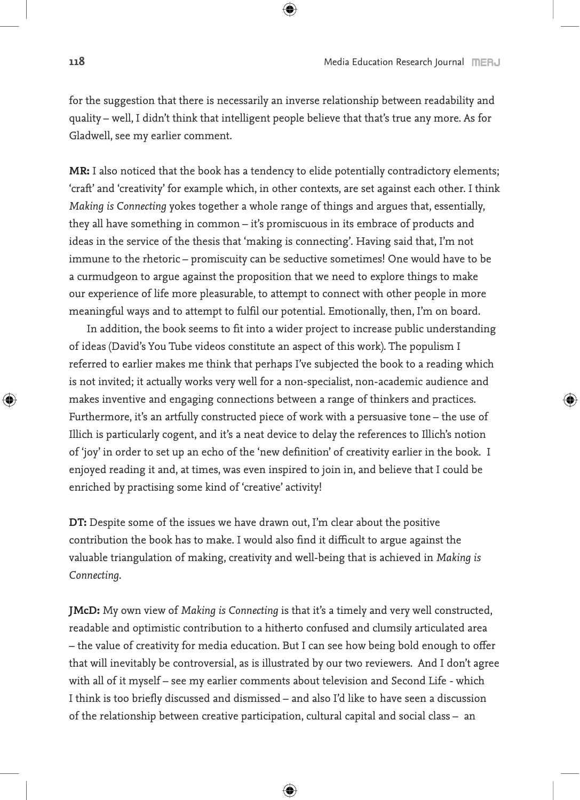for the suggestion that there is necessarily an inverse relationship between readability and quality – well, I didn't think that intelligent people believe that that's true any more. As for Gladwell, see my earlier comment.

 $\bigoplus$ 

**MR:** I also noticed that the book has a tendency to elide potentially contradictory elements; 'craft' and 'creativity' for example which, in other contexts, are set against each other. I think *Making is Connecting* yokes together a whole range of things and argues that, essentially, they all have something in common – it's promiscuous in its embrace of products and ideas in the service of the thesis that 'making is connecting'. Having said that, I'm not immune to the rhetoric – promiscuity can be seductive sometimes! One would have to be a curmudgeon to argue against the proposition that we need to explore things to make our experience of life more pleasurable, to attempt to connect with other people in more meaningful ways and to attempt to fulfil our potential. Emotionally, then, I'm on board.

In addition, the book seems to fit into a wider project to increase public understanding of ideas (David's You Tube videos constitute an aspect of this work). The populism I referred to earlier makes me think that perhaps I've subjected the book to a reading which is not invited; it actually works very well for a non-specialist, non-academic audience and makes inventive and engaging connections between a range of thinkers and practices. Furthermore, it's an artfully constructed piece of work with a persuasive tone – the use of Illich is particularly cogent, and it's a neat device to delay the references to Illich's notion of 'joy' in order to set up an echo of the 'new definition' of creativity earlier in the book. I enjoyed reading it and, at times, was even inspired to join in, and believe that I could be enriched by practising some kind of 'creative' activity!

**DT:** Despite some of the issues we have drawn out, I'm clear about the positive contribution the book has to make. I would also find it difficult to argue against the valuable triangulation of making, creativity and well-being that is achieved in *Making is Connecting*.

**JMcD:** My own view of *Making is Connecting* is that it's a timely and very well constructed, readable and optimistic contribution to a hitherto confused and clumsily articulated area – the value of creativity for media education. But I can see how being bold enough to offer that will inevitably be controversial, as is illustrated by our two reviewers. And I don't agree with all of it myself – see my earlier comments about television and Second Life - which I think is too briefly discussed and dismissed – and also I'd like to have seen a discussion of the relationship between creative participation, cultural capital and social class – an

⊕

↔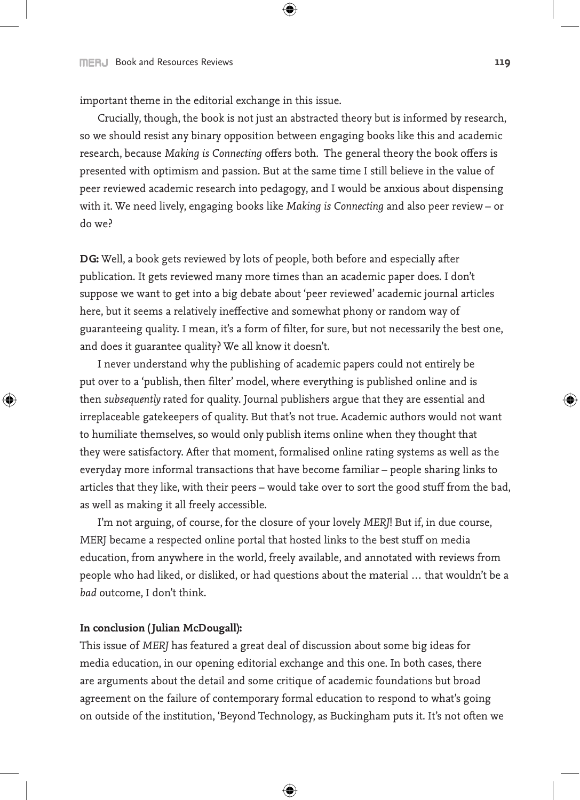important theme in the editorial exchange in this issue.

Crucially, though, the book is not just an abstracted theory but is informed by research, so we should resist any binary opposition between engaging books like this and academic research, because *Making is Connecting* offers both. The general theory the book offers is presented with optimism and passion. But at the same time I still believe in the value of peer reviewed academic research into pedagogy, and I would be anxious about dispensing with it. We need lively, engaging books like *Making is Connecting* and also peer review – or do we?

⊕

**DG:** Well, a book gets reviewed by lots of people, both before and especially after publication. It gets reviewed many more times than an academic paper does. I don't suppose we want to get into a big debate about 'peer reviewed' academic journal articles here, but it seems a relatively ineffective and somewhat phony or random way of guaranteeing quality. I mean, it's a form of filter, for sure, but not necessarily the best one, and does it guarantee quality? We all know it doesn't.

I never understand why the publishing of academic papers could not entirely be put over to a 'publish, then filter' model, where everything is published online and is then *subsequently* rated for quality. Journal publishers argue that they are essential and irreplaceable gatekeepers of quality. But that's not true. Academic authors would not want to humiliate themselves, so would only publish items online when they thought that they were satisfactory. After that moment, formalised online rating systems as well as the everyday more informal transactions that have become familiar – people sharing links to articles that they like, with their peers – would take over to sort the good stuff from the bad, as well as making it all freely accessible.

I'm not arguing, of course, for the closure of your lovely *MERJ*! But if, in due course, MERJ became a respected online portal that hosted links to the best stuff on media education, from anywhere in the world, freely available, and annotated with reviews from people who had liked, or disliked, or had questions about the material … that wouldn't be a *bad* outcome, I don't think.

## **In conclusion (Julian McDougall):**

⊕

This issue of *MERJ* has featured a great deal of discussion about some big ideas for media education, in our opening editorial exchange and this one. In both cases, there are arguments about the detail and some critique of academic foundations but broad agreement on the failure of contemporary formal education to respond to what's going on outside of the institution, 'Beyond Technology, as Buckingham puts it. It's not often we

⊕